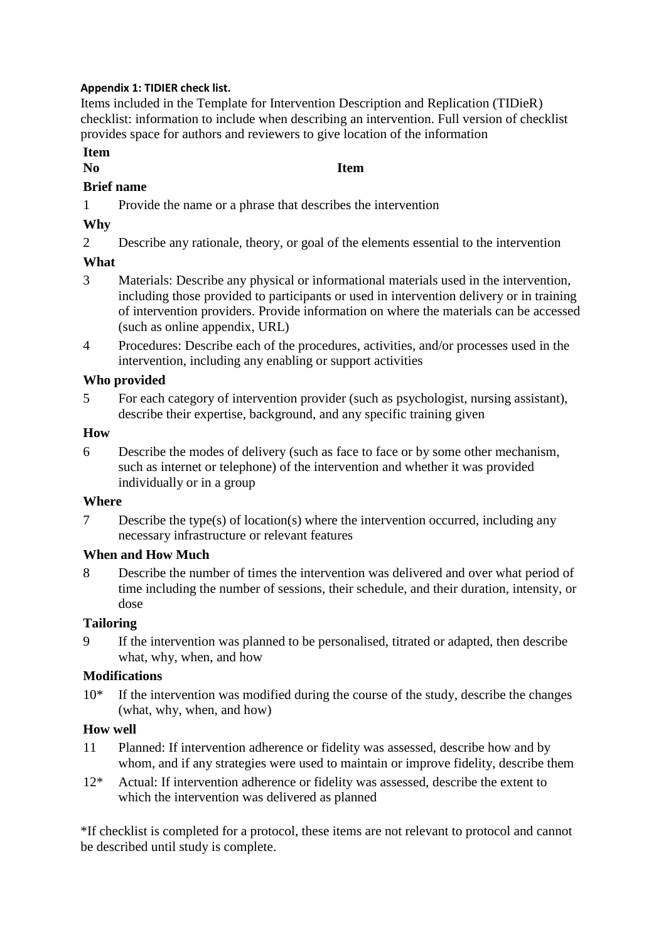#### **Appendix 1: TIDIER check list.**

Items included in the Template for Intervention Description and Replication (TIDieR) checklist: information to include when describing an intervention. Full version of checklist provides space for authors and reviewers to give location of the information

#### **Item**

## **No Item**

## **Brief name**

1 Provide the name or a phrase that describes the intervention

## **Why**

2 Describe any rationale, theory, or goal of the elements essential to the intervention

# **What**

- 3 Materials: Describe any physical or informational materials used in the intervention, including those provided to participants or used in intervention delivery or in training of intervention providers. Provide information on where the materials can be accessed (such as online appendix, URL)
- 4 Procedures: Describe each of the procedures, activities, and/or processes used in the intervention, including any enabling or support activities

### **Who provided**

5 For each category of intervention provider (such as psychologist, nursing assistant), describe their expertise, background, and any specific training given

### **How**

6 Describe the modes of delivery (such as face to face or by some other mechanism, such as internet or telephone) of the intervention and whether it was provided individually or in a group

### **Where**

7 Describe the type(s) of location(s) where the intervention occurred, including any necessary infrastructure or relevant features

### **When and How Much**

8 Describe the number of times the intervention was delivered and over what period of time including the number of sessions, their schedule, and their duration, intensity, or dose

# **Tailoring**

9 If the intervention was planned to be personalised, titrated or adapted, then describe what, why, when, and how

### **Modifications**

10\* If the intervention was modified during the course of the study, describe the changes (what, why, when, and how)

### **How well**

- 11 Planned: If intervention adherence or fidelity was assessed, describe how and by whom, and if any strategies were used to maintain or improve fidelity, describe them
- 12\* Actual: If intervention adherence or fidelity was assessed, describe the extent to which the intervention was delivered as planned

\*If checklist is completed for a protocol, these items are not relevant to protocol and cannot be described until study is complete.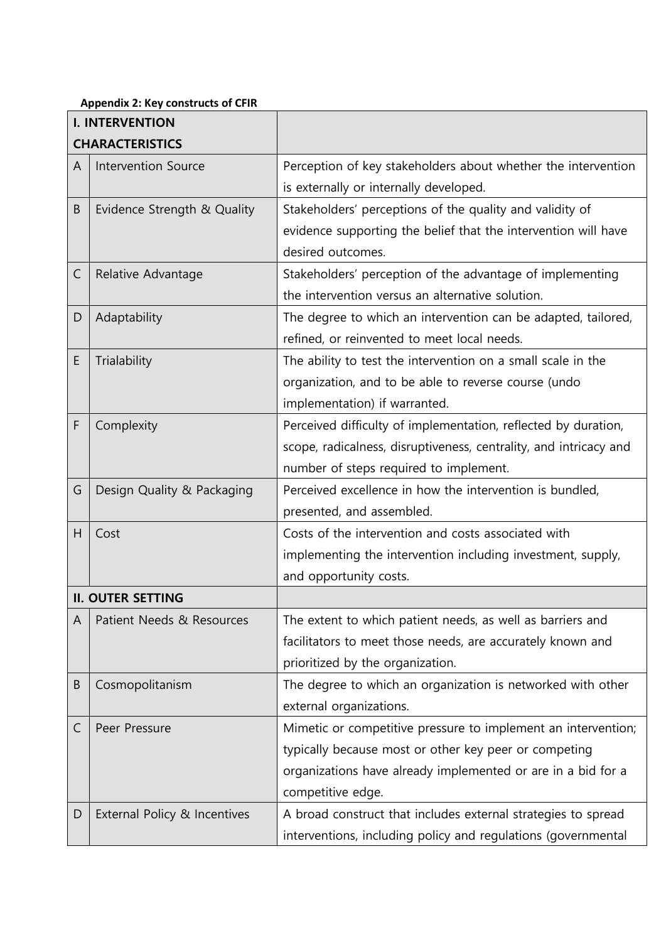#### **Appendix 2: Key constructs of CFIR**

|                | $\frac{1}{2}$<br><b>I. INTERVENTION</b> |                                                                   |
|----------------|-----------------------------------------|-------------------------------------------------------------------|
|                | <b>CHARACTERISTICS</b>                  |                                                                   |
| $\overline{A}$ | <b>Intervention Source</b>              | Perception of key stakeholders about whether the intervention     |
|                |                                         | is externally or internally developed.                            |
| Β              | Evidence Strength & Quality             | Stakeholders' perceptions of the quality and validity of          |
|                |                                         | evidence supporting the belief that the intervention will have    |
|                |                                         | desired outcomes.                                                 |
| C              | Relative Advantage                      | Stakeholders' perception of the advantage of implementing         |
|                |                                         | the intervention versus an alternative solution.                  |
| D              | Adaptability                            | The degree to which an intervention can be adapted, tailored,     |
|                |                                         | refined, or reinvented to meet local needs.                       |
| E              | Trialability                            | The ability to test the intervention on a small scale in the      |
|                |                                         | organization, and to be able to reverse course (undo              |
|                |                                         | implementation) if warranted.                                     |
| F              | Complexity                              | Perceived difficulty of implementation, reflected by duration,    |
|                |                                         | scope, radicalness, disruptiveness, centrality, and intricacy and |
|                |                                         | number of steps required to implement.                            |
| G              | Design Quality & Packaging              | Perceived excellence in how the intervention is bundled,          |
|                |                                         | presented, and assembled.                                         |
| H              | Cost                                    | Costs of the intervention and costs associated with               |
|                |                                         | implementing the intervention including investment, supply,       |
|                |                                         | and opportunity costs.                                            |
|                | <b>II. OUTER SETTING</b>                |                                                                   |
| A              | Patient Needs & Resources               | The extent to which patient needs, as well as barriers and        |
|                |                                         | facilitators to meet those needs, are accurately known and        |
|                |                                         | prioritized by the organization.                                  |
| B              | Cosmopolitanism                         | The degree to which an organization is networked with other       |
|                |                                         | external organizations.                                           |
| С              | Peer Pressure                           | Mimetic or competitive pressure to implement an intervention;     |
|                |                                         | typically because most or other key peer or competing             |
|                |                                         | organizations have already implemented or are in a bid for a      |
|                |                                         | competitive edge.                                                 |
| D              | External Policy & Incentives            | A broad construct that includes external strategies to spread     |
|                |                                         | interventions, including policy and regulations (governmental     |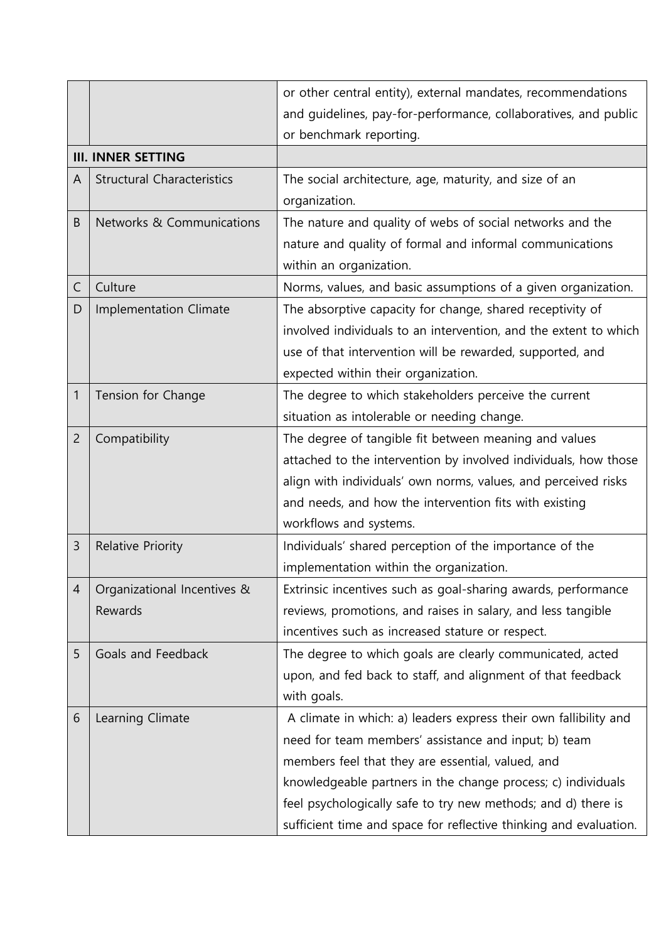|                |                                   | or other central entity), external mandates, recommendations      |
|----------------|-----------------------------------|-------------------------------------------------------------------|
|                |                                   | and guidelines, pay-for-performance, collaboratives, and public   |
|                |                                   | or benchmark reporting.                                           |
|                | <b>III. INNER SETTING</b>         |                                                                   |
| $\overline{A}$ | <b>Structural Characteristics</b> | The social architecture, age, maturity, and size of an            |
|                |                                   | organization.                                                     |
| B              | Networks & Communications         | The nature and quality of webs of social networks and the         |
|                |                                   | nature and quality of formal and informal communications          |
|                |                                   | within an organization.                                           |
| C              | Culture                           | Norms, values, and basic assumptions of a given organization.     |
| D              | <b>Implementation Climate</b>     | The absorptive capacity for change, shared receptivity of         |
|                |                                   | involved individuals to an intervention, and the extent to which  |
|                |                                   | use of that intervention will be rewarded, supported, and         |
|                |                                   | expected within their organization.                               |
| 1              | Tension for Change                | The degree to which stakeholders perceive the current             |
|                |                                   | situation as intolerable or needing change.                       |
| $\overline{2}$ | Compatibility                     | The degree of tangible fit between meaning and values             |
|                |                                   | attached to the intervention by involved individuals, how those   |
|                |                                   | align with individuals' own norms, values, and perceived risks    |
|                |                                   | and needs, and how the intervention fits with existing            |
|                |                                   | workflows and systems.                                            |
| 3              | Relative Priority                 | Individuals' shared perception of the importance of the           |
|                |                                   | implementation within the organization.                           |
| 4              | Organizational Incentives &       | Extrinsic incentives such as goal-sharing awards, performance     |
|                | Rewards                           | reviews, promotions, and raises in salary, and less tangible      |
|                |                                   | incentives such as increased stature or respect.                  |
| 5              | Goals and Feedback                | The degree to which goals are clearly communicated, acted         |
|                |                                   | upon, and fed back to staff, and alignment of that feedback       |
|                |                                   | with goals.                                                       |
| 6              | Learning Climate                  | A climate in which: a) leaders express their own fallibility and  |
|                |                                   | need for team members' assistance and input; b) team              |
|                |                                   | members feel that they are essential, valued, and                 |
|                |                                   | knowledgeable partners in the change process; c) individuals      |
|                |                                   | feel psychologically safe to try new methods; and d) there is     |
|                |                                   | sufficient time and space for reflective thinking and evaluation. |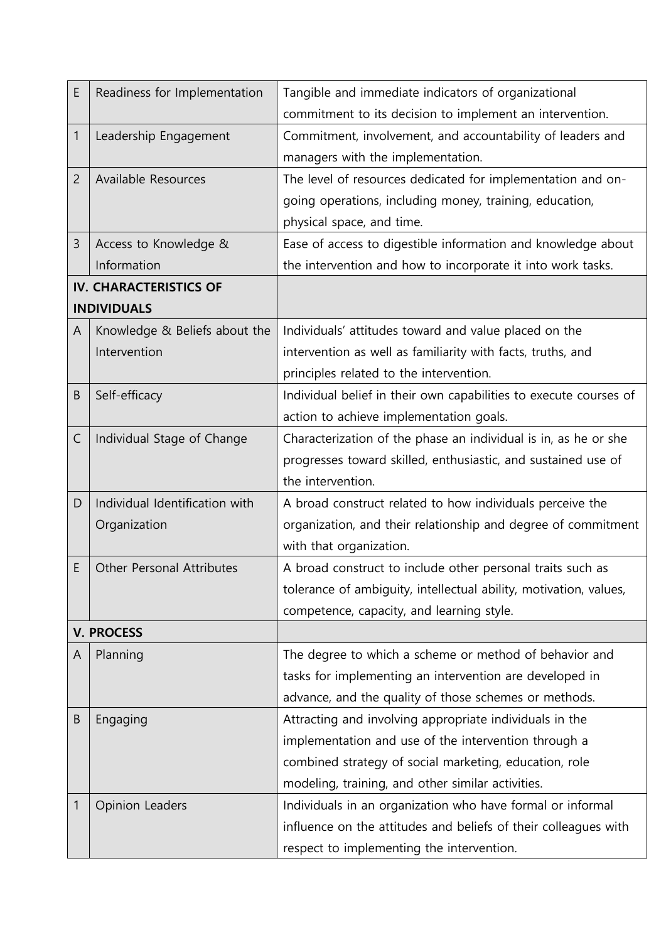| E              | Readiness for Implementation     | Tangible and immediate indicators of organizational               |
|----------------|----------------------------------|-------------------------------------------------------------------|
|                |                                  | commitment to its decision to implement an intervention.          |
| $\mathbf{1}$   | Leadership Engagement            | Commitment, involvement, and accountability of leaders and        |
|                |                                  | managers with the implementation.                                 |
| $\overline{2}$ | Available Resources              | The level of resources dedicated for implementation and on-       |
|                |                                  | going operations, including money, training, education,           |
|                |                                  | physical space, and time.                                         |
| 3              | Access to Knowledge &            | Ease of access to digestible information and knowledge about      |
|                | Information                      | the intervention and how to incorporate it into work tasks.       |
|                | <b>IV. CHARACTERISTICS OF</b>    |                                                                   |
|                | <b>INDIVIDUALS</b>               |                                                                   |
| A              | Knowledge & Beliefs about the    | Individuals' attitudes toward and value placed on the             |
|                | Intervention                     | intervention as well as familiarity with facts, truths, and       |
|                |                                  | principles related to the intervention.                           |
| B              | Self-efficacy                    | Individual belief in their own capabilities to execute courses of |
|                |                                  | action to achieve implementation goals.                           |
| $\mathsf{C}$   | Individual Stage of Change       | Characterization of the phase an individual is in, as he or she   |
|                |                                  | progresses toward skilled, enthusiastic, and sustained use of     |
|                |                                  | the intervention.                                                 |
| D              | Individual Identification with   | A broad construct related to how individuals perceive the         |
|                | Organization                     | organization, and their relationship and degree of commitment     |
|                |                                  | with that organization.                                           |
| E              | <b>Other Personal Attributes</b> | A broad construct to include other personal traits such as        |
|                |                                  | tolerance of ambiguity, intellectual ability, motivation, values, |
|                |                                  | competence, capacity, and learning style.                         |
|                | <b>V. PROCESS</b>                |                                                                   |
| A              | Planning                         | The degree to which a scheme or method of behavior and            |
|                |                                  | tasks for implementing an intervention are developed in           |
|                |                                  | advance, and the quality of those schemes or methods.             |
| B              | Engaging                         | Attracting and involving appropriate individuals in the           |
|                |                                  | implementation and use of the intervention through a              |
|                |                                  | combined strategy of social marketing, education, role            |
|                |                                  | modeling, training, and other similar activities.                 |
| 1              | <b>Opinion Leaders</b>           | Individuals in an organization who have formal or informal        |
|                |                                  | influence on the attitudes and beliefs of their colleagues with   |
|                |                                  | respect to implementing the intervention.                         |